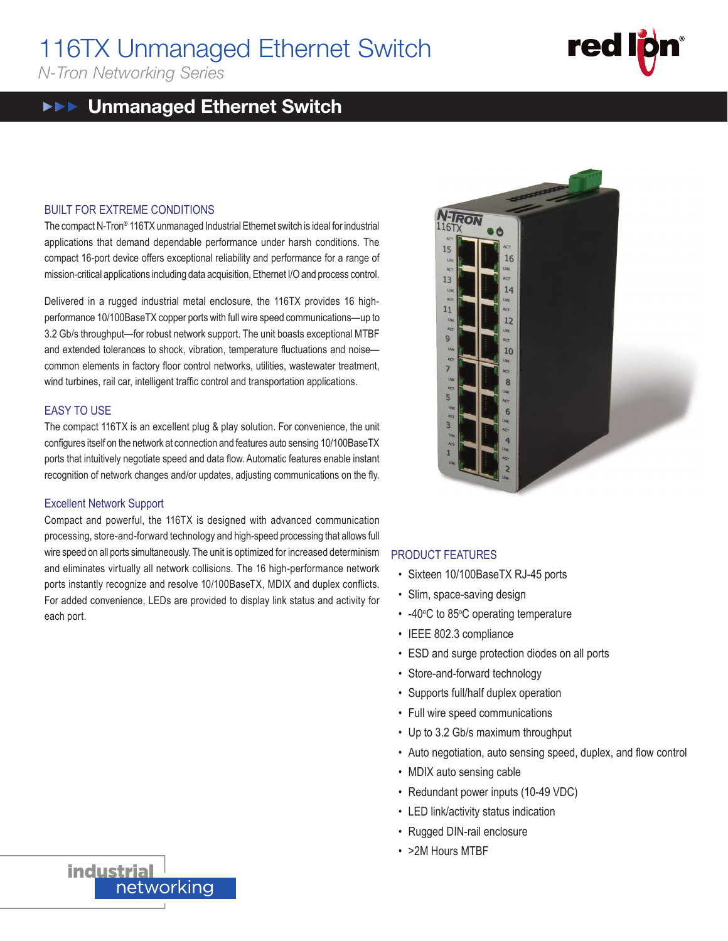# 116TX Unmanaged Ethernet Switch  $116$

*N-Tron Networking Series*  $\wedge$ 

#### Unmanaged Ethernet Switch  $\blacktriangleright \blacktriangleright \blacktriangleright$

## BUILT FOR EXTREME CONDITIONS

 $T$ he compact N-Tron® 116TX unmanaged Industrial Ethernet switch is ideal for industrial applications that demand dependable performance under harsh conditions. The compact 16-port device offers exceptional reliability and performance for a range of mission-critical applications including data acquisition, Ethernet I/O and process control.

Delivered in a rugged industrial metal enclosure, the 116TX provides 16 highperformance 10/100BaseTX copper ports with full wire speed communications—up to 3.2 Gb/s throughput—for robust network support. The unit boasts exceptional MTBF and extended tolerances to shock, vibration, temperature fluctuations and noisecommon elements in factory floor control networks, utilities, wastewater treatment, wind turbines, rail car, intelligent traffic control and transportation applications. data acquisition, Ethernet I/O and process<br>1etal enclosure, the 116TX provides<br>1901s with full wire speed communication<br>1908 work support. The unit boasts exception

## EASY TO USE

The compact 116TX is an excellent plug & play solution. For convenience, the unit configures itself on the network at connection and features auto sensing 10/100BaseTX ports that intuitively negotiate speed and data flow. Automatic features enable instant recognition of network changes and/or updates, adjusting communications on the fly.

## Excellent Network Support

Compact and powerful, the 116TX is designed with advanced communication processing, store-and-forward technology and high-speed processing that allows full wire speed on all ports simultaneously. The unit is optimized for increased determinism and eliminates virtually all network collisions. The 16 high-performance network ports instantly recognize and resolve 10/100BaseTX, MDIX and duplex conflicts. ports instantly recognize and resorve for loobaser x, mork and daplex conflicts.<br>For added convenience, LEDs are provided to display link status and activity for each port.  $\overline{C}$ BUILT FOR EXTREME CONDITIONS  $T_{\rm T}$ 



#### PRODUCT FEATURES applications that demand dependence under the performance under the performance under hardware under hardware<br>The performance under hardware under hardware under hardware under hardware under hardware under hardware under

- network and soliteen 10/100BaseTX RJ-45 ports exceptional reliability and performance for a range of a range o
- tivity for **COM** Slim, space-saving design
	- -40°C to 85°C operating temperature
- $\cdot$  IEEE 802.3 compliance
- ESD and surge protection diodes on all ports
- Store-and-forward technology<br>• Store-and-forward technology
- Supports full/half duplex operation and extended tolerances to shock, vibration, temperature fluctuations and noise—
- Full wire speed communications.
	- Up to 3.2 Gb/s maximum throughput
- Auto negotiation, auto sensing speed, duplex, and flow control
- MDIX auto sensing cable
- Redundant power inputs (10-49 VDC)
- LED link/activity status indication
- Rugged DIN-rail enclosure
- $\cdot$  >2M Hours MTBF



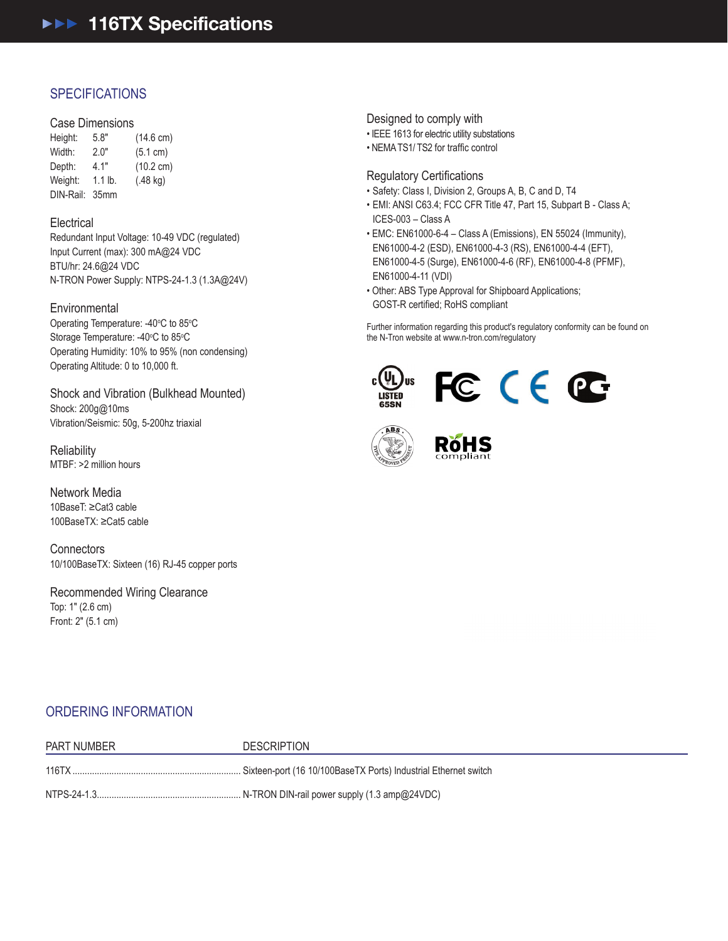# **SPECIFICATIONS**

### Case Dimensions

116TX

| Height:   | 5.8"             | $(14.6 \text{ cm})$ |
|-----------|------------------|---------------------|
| Width:    | 2.0"             | (5.1 cm)            |
| Depth:    | 4.1"             | $(10.2 \text{ cm})$ |
| Weight:   | $1.1$ lb.        | $(.48 \text{ kg})$  |
| DIN-Rail: | 35 <sub>mm</sub> |                     |

## **Electrical**

Redundant Input Voltage: 10-49 VDC (regulated) Input Current (max): 300 mA@24 VDC BTU/hr: 24.6@24 VDC N-TRON Power Supply: NTPS-24-1.3 (1.3A@24V)

## **Environmental**

Operating Temperature: -40°C to 85°C Storage Temperature: -40°C to 85°C Operating Humidity: 10% to 95% (non condensing) Operating Altitude: 0 to 10,000 ft.

Shock and Vibration (Bulkhead Mounted) Shock: 200g@10ms Vibration/Seismic: 50g, 5-200hz triaxial

**Reliability** MTBF: >2 million hours

Network Media 10BaseT: ≥Cat3 cable 100BaseTX: ≥Cat5 cable

**Connectors** 10/100BaseTX: Sixteen (16) RJ-45 copper ports

Recommended Wiring Clearance Top: 1" (2.6 cm) Front: 2" (5.1 cm)

Designed to comply with

- IEEE 1613 for electric utility substations
- NEMATS1/ TS2 for traffic control

## Regulatory Certifications

- Safety: Class I, Division 2, Groups A, B, C and D, T4
- EMI: ANSI C63.4; FCC CFR Title 47, Part 15, Subpart B Class A; ICES-003 – Class A
- EMC: EN61000-6-4 Class A (Emissions), EN 55024 (Immunity), EN61000-4-2 (ESD), EN61000-4-3 (RS), EN61000-4-4 (EFT), EN61000-4-5 (Surge), EN61000-4-6 (RF), EN61000-4-8 (PFMF), EN61000-4-11 (VDI)
- Other: ABS Type Approval for Shipboard Applications; GOST-R certified; RoHS compliant

Further information regarding this product's regulatory conformity can be found on the N-Tron website at www.n-tron.com/regulatory







# ORDERING INFORMATION

| PART NUMBER | <b>DESCRIPTION</b>                                                            |
|-------------|-------------------------------------------------------------------------------|
|             |                                                                               |
|             | NTPS-24-1.3……………………………………………………… N-TRON DIN-rail power supply (1.3 amp@24VDC) |